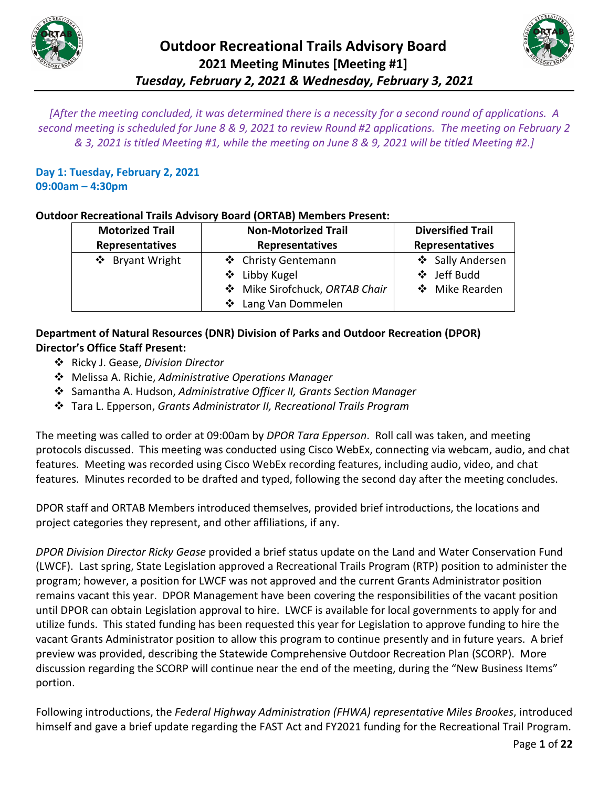



*[After the meeting concluded, it was determined there is a necessity for a second round of applications. A second meeting is scheduled for June 8 & 9, 2021 to review Round #2 applications. The meeting on February 2 & 3, 2021 is titled Meeting #1, while the meeting on June 8 & 9, 2021 will be titled Meeting #2.]*

**Day 1: Tuesday, February 2, 2021 09:00am – 4:30pm** 

### **Outdoor Recreational Trails Advisory Board (ORTAB) Members Present:**

| <b>Motorized Trail</b> | <b>Non-Motorized Trail</b>   | <b>Diversified Trail</b> |
|------------------------|------------------------------|--------------------------|
| Representatives        | <b>Representatives</b>       | Representatives          |
| ❖ Bryant Wright        | ❖ Christy Gentemann          | ❖ Sally Andersen         |
|                        | ❖ Libby Kugel                | ❖ Jeff Budd              |
|                        | Mike Sirofchuck, ORTAB Chair | ❖ Mike Rearden           |
|                        | ❖ Lang Van Dommelen          |                          |

### **Department of Natural Resources (DNR) Division of Parks and Outdoor Recreation (DPOR) Director's Office Staff Present:**

- Ricky J. Gease, *Division Director*
- Melissa A. Richie, *Administrative Operations Manager*
- Samantha A. Hudson, *Administrative Officer II, Grants Section Manager*
- Tara L. Epperson, *Grants Administrator II, Recreational Trails Program*

The meeting was called to order at 09:00am by *DPOR Tara Epperson*. Roll call was taken, and meeting protocols discussed. This meeting was conducted using Cisco WebEx, connecting via webcam, audio, and chat features. Meeting was recorded using Cisco WebEx recording features, including audio, video, and chat features. Minutes recorded to be drafted and typed, following the second day after the meeting concludes.

DPOR staff and ORTAB Members introduced themselves, provided brief introductions, the locations and project categories they represent, and other affiliations, if any.

*DPOR Division Director Ricky Gease* provided a brief status update on the Land and Water Conservation Fund (LWCF). Last spring, State Legislation approved a Recreational Trails Program (RTP) position to administer the program; however, a position for LWCF was not approved and the current Grants Administrator position remains vacant this year. DPOR Management have been covering the responsibilities of the vacant position until DPOR can obtain Legislation approval to hire. LWCF is available for local governments to apply for and utilize funds. This stated funding has been requested this year for Legislation to approve funding to hire the vacant Grants Administrator position to allow this program to continue presently and in future years. A brief preview was provided, describing the Statewide Comprehensive Outdoor Recreation Plan (SCORP). More discussion regarding the SCORP will continue near the end of the meeting, during the "New Business Items" portion.

Following introductions, the *Federal Highway Administration (FHWA) representative Miles Brookes*, introduced himself and gave a brief update regarding the FAST Act and FY2021 funding for the Recreational Trail Program.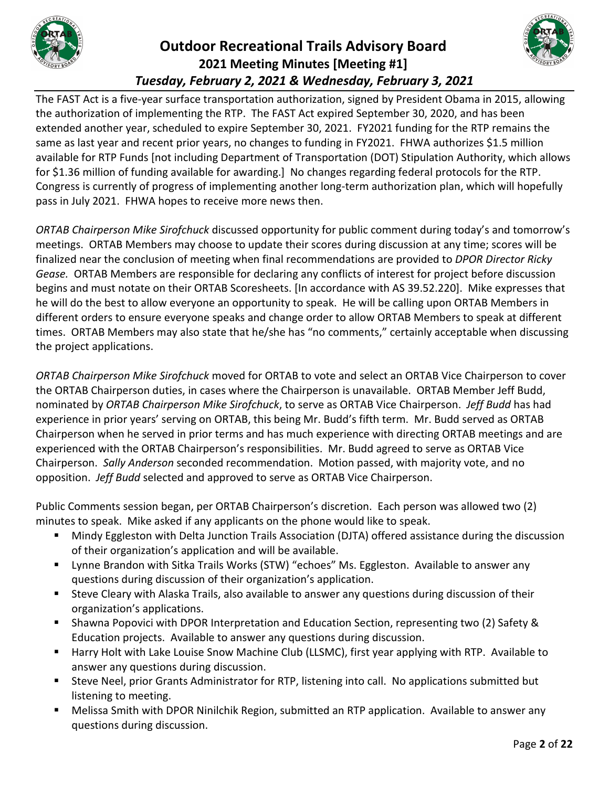



The FAST Act is a five-year surface transportation authorization, signed by President Obama in 2015, allowing the authorization of implementing the RTP. The FAST Act expired September 30, 2020, and has been extended another year, scheduled to expire September 30, 2021. FY2021 funding for the RTP remains the same as last year and recent prior years, no changes to funding in FY2021. FHWA authorizes \$1.5 million available for RTP Funds [not including Department of Transportation (DOT) Stipulation Authority, which allows for \$1.36 million of funding available for awarding.] No changes regarding federal protocols for the RTP. Congress is currently of progress of implementing another long-term authorization plan, which will hopefully pass in July 2021. FHWA hopes to receive more news then.

*ORTAB Chairperson Mike Sirofchuck* discussed opportunity for public comment during today's and tomorrow's meetings. ORTAB Members may choose to update their scores during discussion at any time; scores will be finalized near the conclusion of meeting when final recommendations are provided to *DPOR Director Ricky Gease.* ORTAB Members are responsible for declaring any conflicts of interest for project before discussion begins and must notate on their ORTAB Scoresheets. [In accordance with AS 39.52.220]. Mike expresses that he will do the best to allow everyone an opportunity to speak. He will be calling upon ORTAB Members in different orders to ensure everyone speaks and change order to allow ORTAB Members to speak at different times. ORTAB Members may also state that he/she has "no comments," certainly acceptable when discussing the project applications.

*ORTAB Chairperson Mike Sirofchuck* moved for ORTAB to vote and select an ORTAB Vice Chairperson to cover the ORTAB Chairperson duties, in cases where the Chairperson is unavailable. ORTAB Member Jeff Budd, nominated by *ORTAB Chairperson Mike Sirofchuck*, to serve as ORTAB Vice Chairperson. *Jeff Budd* has had experience in prior years' serving on ORTAB, this being Mr. Budd's fifth term. Mr. Budd served as ORTAB Chairperson when he served in prior terms and has much experience with directing ORTAB meetings and are experienced with the ORTAB Chairperson's responsibilities. Mr. Budd agreed to serve as ORTAB Vice Chairperson. *Sally Anderson* seconded recommendation. Motion passed, with majority vote, and no opposition. *Jeff Budd* selected and approved to serve as ORTAB Vice Chairperson.

Public Comments session began, per ORTAB Chairperson's discretion. Each person was allowed two (2) minutes to speak. Mike asked if any applicants on the phone would like to speak.

- Mindy Eggleston with Delta Junction Trails Association (DJTA) offered assistance during the discussion of their organization's application and will be available.
- **E** Lynne Brandon with Sitka Trails Works (STW) "echoes" Ms. Eggleston. Available to answer any questions during discussion of their organization's application.
- Steve Cleary with Alaska Trails, also available to answer any questions during discussion of their organization's applications.
- Shawna Popovici with DPOR Interpretation and Education Section, representing two (2) Safety & Education projects. Available to answer any questions during discussion.
- Harry Holt with Lake Louise Snow Machine Club (LLSMC), first year applying with RTP. Available to answer any questions during discussion.
- Steve Neel, prior Grants Administrator for RTP, listening into call. No applications submitted but listening to meeting.
- Melissa Smith with DPOR Ninilchik Region, submitted an RTP application. Available to answer any questions during discussion.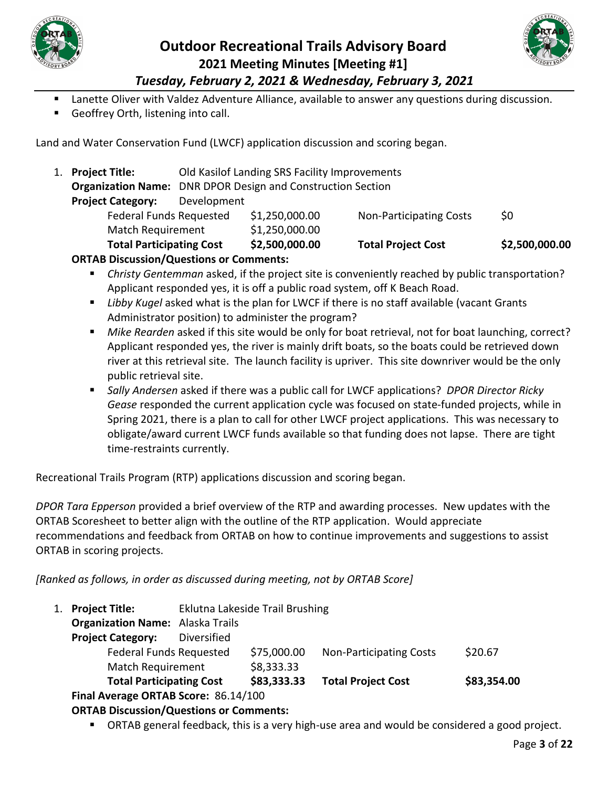



Lanette Oliver with Valdez Adventure Alliance, available to answer any questions during discussion.

Geoffrey Orth, listening into call.

Land and Water Conservation Fund (LWCF) application discussion and scoring began.

|    | $\mathbf{Q}$                                                       |             |                                               |                                |                |
|----|--------------------------------------------------------------------|-------------|-----------------------------------------------|--------------------------------|----------------|
|    | <b>Total Participating Cost</b>                                    |             | \$2,500,000.00                                | <b>Total Project Cost</b>      | \$2,500,000.00 |
|    | <b>Match Requirement</b>                                           |             | \$1,250,000.00                                |                                |                |
|    | <b>Federal Funds Requested</b>                                     |             | \$1,250,000.00                                | <b>Non-Participating Costs</b> | \$0            |
|    | <b>Project Category:</b>                                           | Development |                                               |                                |                |
|    | <b>Organization Name:</b> DNR DPOR Design and Construction Section |             |                                               |                                |                |
| 1. | <b>Project Title:</b>                                              |             | Old Kasilof Landing SRS Facility Improvements |                                |                |

#### **ORTAB Discussion/Questions or Comments:**

- *Christy Gentemman* asked, if the project site is conveniently reached by public transportation? Applicant responded yes, it is off a public road system, off K Beach Road.
- *Libby Kugel* asked what is the plan for LWCF if there is no staff available (vacant Grants Administrator position) to administer the program?
- *Mike Rearden* asked if this site would be only for boat retrieval, not for boat launching, correct? Applicant responded yes, the river is mainly drift boats, so the boats could be retrieved down river at this retrieval site. The launch facility is upriver. This site downriver would be the only public retrieval site.
- *Sally Andersen* asked if there was a public call for LWCF applications? *DPOR Director Ricky Gease* responded the current application cycle was focused on state-funded projects, while in Spring 2021, there is a plan to call for other LWCF project applications. This was necessary to obligate/award current LWCF funds available so that funding does not lapse. There are tight time-restraints currently.

Recreational Trails Program (RTP) applications discussion and scoring began.

*DPOR Tara Epperson* provided a brief overview of the RTP and awarding processes. New updates with the ORTAB Scoresheet to better align with the outline of the RTP application. Would appreciate recommendations and feedback from ORTAB on how to continue improvements and suggestions to assist ORTAB in scoring projects.

*[Ranked as follows, in order as discussed during meeting, not by ORTAB Score]*

| 1. Project Title:                       | Eklutna Lakeside Trail Brushing |             |                                |             |
|-----------------------------------------|---------------------------------|-------------|--------------------------------|-------------|
| <b>Organization Name:</b> Alaska Trails |                                 |             |                                |             |
| <b>Project Category:</b>                | Diversified                     |             |                                |             |
| <b>Federal Funds Requested</b>          |                                 | \$75,000.00 | <b>Non-Participating Costs</b> | \$20.67     |
| Match Requirement                       |                                 | \$8,333.33  |                                |             |
| <b>Total Participating Cost</b>         |                                 | \$83,333.33 | <b>Total Project Cost</b>      | \$83,354.00 |
| Final Average ORTAB Score: 86.14/100    |                                 |             |                                |             |
|                                         |                                 |             |                                |             |

#### **ORTAB Discussion/Questions or Comments:**

ORTAB general feedback, this is a very high-use area and would be considered a good project.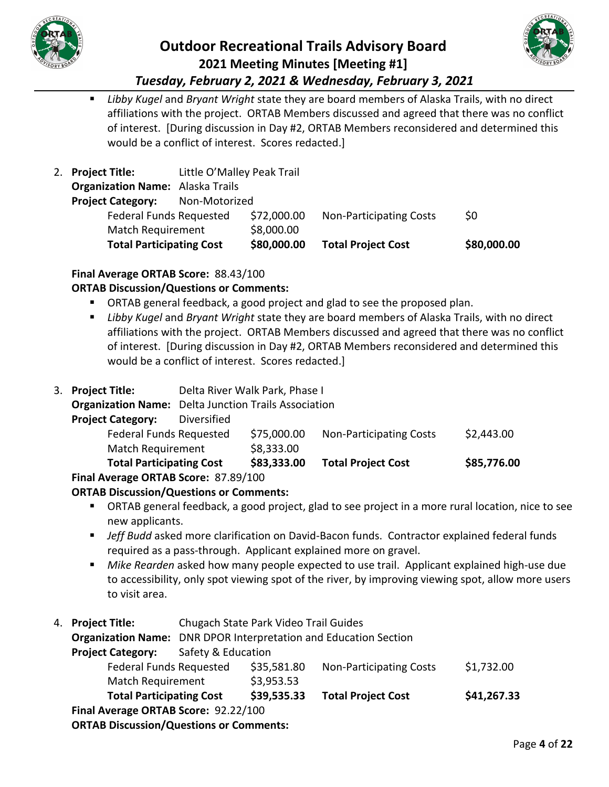

# **Outdoor Recreational Trails Advisory Board 2021 Meeting Minutes [Meeting #1]**



*Tuesday, February 2, 2021 & Wednesday, February 3, 2021*

 *Libby Kugel* and *Bryant Wright* state they are board members of Alaska Trails, with no direct affiliations with the project. ORTAB Members discussed and agreed that there was no conflict of interest. [During discussion in Day #2, ORTAB Members reconsidered and determined this would be a conflict of interest. Scores redacted.]

| <b>Total Participating Cost</b>         |                            | \$80,000.00 | <b>Total Project Cost</b>      | \$80,000.00 |
|-----------------------------------------|----------------------------|-------------|--------------------------------|-------------|
| <b>Match Requirement</b>                |                            | \$8,000.00  |                                |             |
| <b>Federal Funds Requested</b>          |                            | \$72,000.00 | <b>Non-Participating Costs</b> | \$0         |
| <b>Project Category:</b>                | Non-Motorized              |             |                                |             |
| <b>Organization Name:</b> Alaska Trails |                            |             |                                |             |
| 2. Project Title:                       | Little O'Malley Peak Trail |             |                                |             |

### **Final Average ORTAB Score:** 88.43/100

### **ORTAB Discussion/Questions or Comments:**

- ORTAB general feedback, a good project and glad to see the proposed plan.
- *Libby Kugel* and *Bryant Wright* state they are board members of Alaska Trails, with no direct affiliations with the project. ORTAB Members discussed and agreed that there was no conflict of interest. [During discussion in Day #2, ORTAB Members reconsidered and determined this would be a conflict of interest. Scores redacted.]
- 3. **Project Title:** Delta River Walk Park, Phase I

**Organization Name:** Delta Junction Trails Association

| <b>Project Category:</b> | Diversified |
|--------------------------|-------------|
|--------------------------|-------------|

| <b>Total Participating Cost</b> | \$83,333.00 | <b>Total Project Cost</b> | \$85,776.00 |
|---------------------------------|-------------|---------------------------|-------------|
| Match Requirement               | \$8,333.00  |                           |             |
| <b>Federal Funds Requested</b>  | \$75,000.00 | Non-Participating Costs   | \$2,443.00  |
| - , - - - - - - - - ,           |             |                           |             |

### **Final Average ORTAB Score:** 87.89/100

### **ORTAB Discussion/Questions or Comments:**

- ORTAB general feedback, a good project, glad to see project in a more rural location, nice to see new applicants.
- *Jeff Budd* asked more clarification on David-Bacon funds. Contractor explained federal funds required as a pass-through. Applicant explained more on gravel.
- *Mike Rearden* asked how many people expected to use trail. Applicant explained high-use due to accessibility, only spot viewing spot of the river, by improving viewing spot, allow more users to visit area.
- 4. **Project Title:** Chugach State Park Video Trail Guides

**Organization Name:** DNR DPOR Interpretation and Education Section **Project Category:** Safety & Education Federal Funds Requested \$35,581.80 Non-Participating Costs \$1,732.00 Match Requirement \$3,953.53 **Total Participating Cost \$39,535.33 Total Project Cost \$41,267.33 Final Average ORTAB Score:** 92.22/100 **ORTAB Discussion/Questions or Comments:**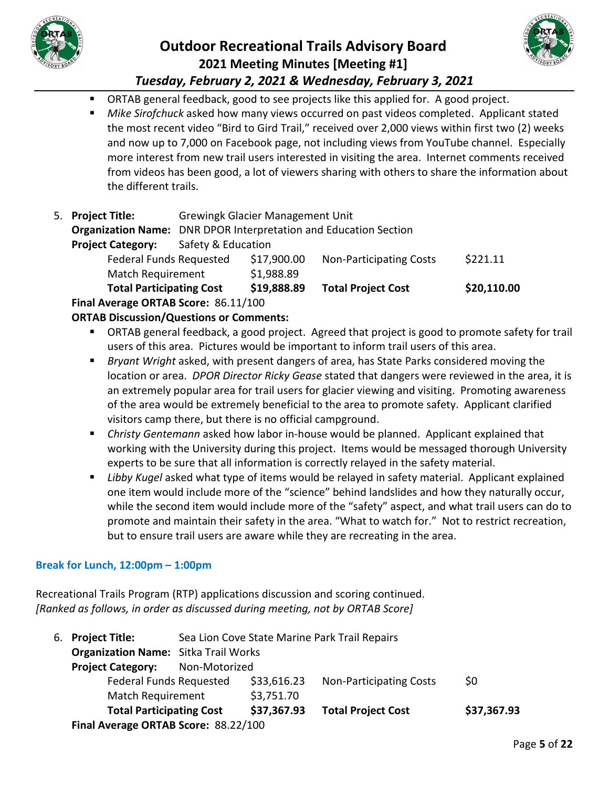



- ORTAB general feedback, good to see projects like this applied for. A good project.
- *Mike Sirofchuck* asked how many views occurred on past videos completed. Applicant stated the most recent video "Bird to Gird Trail," received over 2,000 views within first two (2) weeks and now up to 7,000 on Facebook page, not including views from YouTube channel. Especially more interest from new trail users interested in visiting the area. Internet comments received from videos has been good, a lot of viewers sharing with others to share the information about the different trails.
- 5. **Project Title:** Grewingk Glacier Management Unit **Organization Name:** DNR DPOR Interpretation and Education Section **Project Category:** Safety & Education Federal Funds Requested \$17,900.00 Non-Participating Costs \$221.11 Match Requirement \$1,988.89 **Total Participating Cost \$19,888.89 Total Project Cost \$20,110.00**

**Final Average ORTAB Score:** 86.11/100

**ORTAB Discussion/Questions or Comments:**

- ORTAB general feedback, a good project. Agreed that project is good to promote safety for trail users of this area. Pictures would be important to inform trail users of this area.
- *Bryant Wright* asked, with present dangers of area, has State Parks considered moving the location or area. *DPOR Director Ricky Gease* stated that dangers were reviewed in the area, it is an extremely popular area for trail users for glacier viewing and visiting. Promoting awareness of the area would be extremely beneficial to the area to promote safety. Applicant clarified visitors camp there, but there is no official campground.
- *Christy Gentemann* asked how labor in-house would be planned. Applicant explained that working with the University during this project. Items would be messaged thorough University experts to be sure that all information is correctly relayed in the safety material.
- **Libby Kugel asked what type of items would be relayed in safety material. Applicant explained** one item would include more of the "science" behind landslides and how they naturally occur, while the second item would include more of the "safety" aspect, and what trail users can do to promote and maintain their safety in the area. "What to watch for." Not to restrict recreation, but to ensure trail users are aware while they are recreating in the area.

### **Break for Lunch, 12:00pm – 1:00pm**

Recreational Trails Program (RTP) applications discussion and scoring continued. *[Ranked as follows, in order as discussed during meeting, not by ORTAB Score]*

| 6. Project Title:                           | Sea Lion Cove State Marine Park Trail Repairs |             |                                |             |
|---------------------------------------------|-----------------------------------------------|-------------|--------------------------------|-------------|
| <b>Organization Name:</b> Sitka Trail Works |                                               |             |                                |             |
| <b>Project Category:</b>                    | Non-Motorized                                 |             |                                |             |
| <b>Federal Funds Requested</b>              |                                               | \$33,616.23 | <b>Non-Participating Costs</b> | \$0         |
| <b>Match Requirement</b>                    |                                               | \$3,751.70  |                                |             |
| <b>Total Participating Cost</b>             |                                               | \$37,367.93 | <b>Total Project Cost</b>      | \$37,367.93 |
| Final Average ORTAB Score: 88.22/100        |                                               |             |                                |             |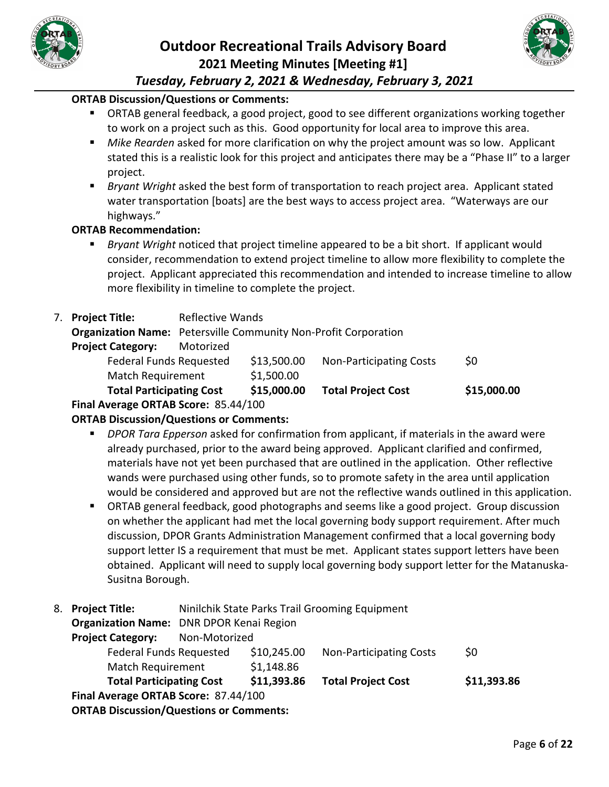



### **ORTAB Discussion/Questions or Comments:**

- ORTAB general feedback, a good project, good to see different organizations working together to work on a project such as this. Good opportunity for local area to improve this area.
- *Mike Rearden* asked for more clarification on why the project amount was so low. Applicant stated this is a realistic look for this project and anticipates there may be a "Phase II" to a larger project.
- *Bryant Wright* asked the best form of transportation to reach project area. Applicant stated water transportation [boats] are the best ways to access project area. "Waterways are our highways."

#### **ORTAB Recommendation:**

 *Bryant Wright* noticed that project timeline appeared to be a bit short. If applicant would consider, recommendation to extend project timeline to allow more flexibility to complete the project. Applicant appreciated this recommendation and intended to increase timeline to allow more flexibility in timeline to complete the project.

|  | 7. Project Title:                                                      | <b>Reflective Wands</b> |             |                                |             |
|--|------------------------------------------------------------------------|-------------------------|-------------|--------------------------------|-------------|
|  | <b>Organization Name:</b> Petersville Community Non-Profit Corporation |                         |             |                                |             |
|  | <b>Project Category:</b>                                               | Motorized               |             |                                |             |
|  | <b>Federal Funds Requested</b>                                         |                         | \$13,500.00 | <b>Non-Participating Costs</b> | \$0         |
|  | <b>Match Requirement</b>                                               |                         | \$1,500.00  |                                |             |
|  | <b>Total Participating Cost</b>                                        |                         | \$15,000.00 | <b>Total Project Cost</b>      | \$15,000.00 |
|  | $\blacksquare$                                                         |                         |             |                                |             |

**Final Average ORTAB Score:** 85.44/100

- *DPOR Tara Epperson* asked for confirmation from applicant, if materials in the award were already purchased, prior to the award being approved. Applicant clarified and confirmed, materials have not yet been purchased that are outlined in the application. Other reflective wands were purchased using other funds, so to promote safety in the area until application would be considered and approved but are not the reflective wands outlined in this application.
- ORTAB general feedback, good photographs and seems like a good project. Group discussion on whether the applicant had met the local governing body support requirement. After much discussion, DPOR Grants Administration Management confirmed that a local governing body support letter IS a requirement that must be met. Applicant states support letters have been obtained. Applicant will need to supply local governing body support letter for the Matanuska-Susitna Borough.
- 8. **Project Title:** Ninilchik State Parks Trail Grooming Equipment

| <b>ORTAB Discussion/Questions or Comments:</b>  |               |             |                                |             |
|-------------------------------------------------|---------------|-------------|--------------------------------|-------------|
| Final Average ORTAB Score: 87.44/100            |               |             |                                |             |
| <b>Total Participating Cost</b>                 |               | \$11,393.86 | <b>Total Project Cost</b>      | \$11,393.86 |
| <b>Match Requirement</b>                        |               | \$1,148.86  |                                |             |
| <b>Federal Funds Requested</b>                  |               | \$10,245.00 | <b>Non-Participating Costs</b> | \$0         |
| <b>Project Category:</b>                        | Non-Motorized |             |                                |             |
| <b>Organization Name:</b> DNR DPOR Kenai Region |               |             |                                |             |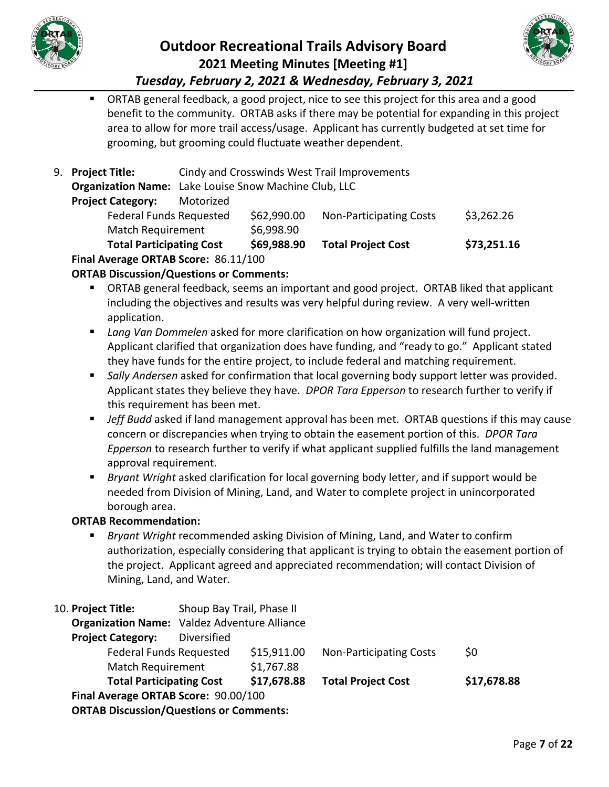



 ORTAB general feedback, a good project, nice to see this project for this area and a good benefit to the community. ORTAB asks if there may be potential for expanding in this project area to allow for more trail access/usage. Applicant has currently budgeted at set time for grooming, but grooming could fluctuate weather dependent.

|  | 9. Project Title:                                            |           | Cindy and Crosswinds West Trail Improvements |                                |             |
|--|--------------------------------------------------------------|-----------|----------------------------------------------|--------------------------------|-------------|
|  | <b>Organization Name:</b> Lake Louise Snow Machine Club, LLC |           |                                              |                                |             |
|  | <b>Project Category:</b>                                     | Motorized |                                              |                                |             |
|  | <b>Federal Funds Requested</b>                               |           | \$62,990.00                                  | <b>Non-Participating Costs</b> | \$3,262.26  |
|  | <b>Match Requirement</b>                                     |           | \$6,998.90                                   |                                |             |
|  | <b>Total Participating Cost</b>                              |           | \$69,988.90                                  | <b>Total Project Cost</b>      | \$73,251.16 |
|  | Final Average ORTAB Score: 86.11/100                         |           |                                              |                                |             |

### **ORTAB Discussion/Questions or Comments:**

- ORTAB general feedback, seems an important and good project. ORTAB liked that applicant including the objectives and results was very helpful during review. A very well-written application.
- *Lang Van Dommelen* asked for more clarification on how organization will fund project. Applicant clarified that organization does have funding, and "ready to go." Applicant stated they have funds for the entire project, to include federal and matching requirement.
- *Sally Andersen* asked for confirmation that local governing body support letter was provided. Applicant states they believe they have. *DPOR Tara Epperson* to research further to verify if this requirement has been met.
- **Jeff Budd** asked if land management approval has been met. ORTAB questions if this may cause concern or discrepancies when trying to obtain the easement portion of this. *DPOR Tara Epperson* to research further to verify if what applicant supplied fulfills the land management approval requirement.
- *Bryant Wright* asked clarification for local governing body letter, and if support would be needed from Division of Mining, Land, and Water to complete project in unincorporated borough area.

### **ORTAB Recommendation:**

 *Bryant Wright* recommended asking Division of Mining, Land, and Water to confirm authorization, especially considering that applicant is trying to obtain the easement portion of the project. Applicant agreed and appreciated recommendation; will contact Division of Mining, Land, and Water.

| 10. Project Title:                             | Shoup Bay Trail, Phase II                           |             |                                |             |
|------------------------------------------------|-----------------------------------------------------|-------------|--------------------------------|-------------|
|                                                | <b>Organization Name:</b> Valdez Adventure Alliance |             |                                |             |
| <b>Project Category:</b>                       | Diversified                                         |             |                                |             |
| <b>Federal Funds Requested</b>                 |                                                     | \$15,911.00 | <b>Non-Participating Costs</b> | \$0         |
| <b>Match Requirement</b>                       |                                                     | \$1,767.88  |                                |             |
| <b>Total Participating Cost</b>                |                                                     | \$17,678.88 | <b>Total Project Cost</b>      | \$17,678.88 |
| Final Average ORTAB Score: 90.00/100           |                                                     |             |                                |             |
| <b>ORTAB Discussion/Questions or Comments:</b> |                                                     |             |                                |             |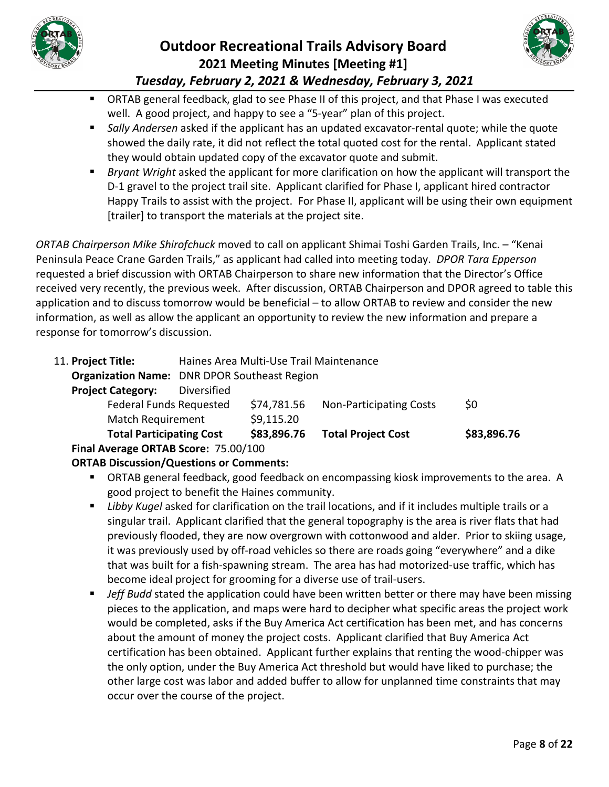



- ORTAB general feedback, glad to see Phase II of this project, and that Phase I was executed well. A good project, and happy to see a "5-year" plan of this project.
- *Sally Andersen* asked if the applicant has an updated excavator-rental quote; while the quote showed the daily rate, it did not reflect the total quoted cost for the rental. Applicant stated they would obtain updated copy of the excavator quote and submit.
- *Bryant Wright* asked the applicant for more clarification on how the applicant will transport the D-1 gravel to the project trail site. Applicant clarified for Phase I, applicant hired contractor Happy Trails to assist with the project. For Phase II, applicant will be using their own equipment [trailer] to transport the materials at the project site.

*ORTAB Chairperson Mike Shirofchuck* moved to call on applicant Shimai Toshi Garden Trails, Inc. – "Kenai Peninsula Peace Crane Garden Trails," as applicant had called into meeting today. *DPOR Tara Epperson* requested a brief discussion with ORTAB Chairperson to share new information that the Director's Office received very recently, the previous week. After discussion, ORTAB Chairperson and DPOR agreed to table this application and to discuss tomorrow would be beneficial – to allow ORTAB to review and consider the new information, as well as allow the applicant an opportunity to review the new information and prepare a response for tomorrow's discussion.

| 11. Project Title:                   | Haines Area Multi-Use Trail Maintenance |                                                     |                                |             |  |
|--------------------------------------|-----------------------------------------|-----------------------------------------------------|--------------------------------|-------------|--|
|                                      |                                         | <b>Organization Name: DNR DPOR Southeast Region</b> |                                |             |  |
| <b>Project Category:</b>             | Diversified                             |                                                     |                                |             |  |
| <b>Federal Funds Requested</b>       |                                         | \$74,781.56                                         | <b>Non-Participating Costs</b> | \$0         |  |
| <b>Match Requirement</b>             |                                         | \$9,115.20                                          |                                |             |  |
| <b>Total Participating Cost</b>      |                                         | \$83,896.76                                         | <b>Total Project Cost</b>      | \$83,896.76 |  |
| Final Average ORTAB Score: 75.00/100 |                                         |                                                     |                                |             |  |

- ORTAB general feedback, good feedback on encompassing kiosk improvements to the area. A good project to benefit the Haines community.
- *Libby Kugel* asked for clarification on the trail locations, and if it includes multiple trails or a singular trail. Applicant clarified that the general topography is the area is river flats that had previously flooded, they are now overgrown with cottonwood and alder. Prior to skiing usage, it was previously used by off-road vehicles so there are roads going "everywhere" and a dike that was built for a fish-spawning stream. The area has had motorized-use traffic, which has become ideal project for grooming for a diverse use of trail-users.
- **Jeff Budd stated the application could have been written better or there may have been missing** pieces to the application, and maps were hard to decipher what specific areas the project work would be completed, asks if the Buy America Act certification has been met, and has concerns about the amount of money the project costs. Applicant clarified that Buy America Act certification has been obtained. Applicant further explains that renting the wood-chipper was the only option, under the Buy America Act threshold but would have liked to purchase; the other large cost was labor and added buffer to allow for unplanned time constraints that may occur over the course of the project.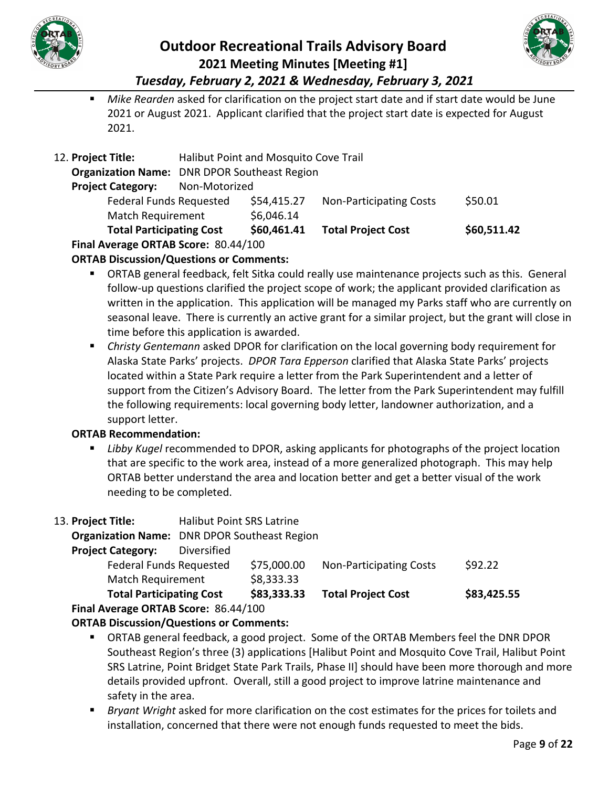



 *Mike Rearden* asked for clarification on the project start date and if start date would be June 2021 or August 2021. Applicant clarified that the project start date is expected for August 2021.

| Final Average ORTAB Score: 80.44/100 |                                                     |                                       |                                |             |
|--------------------------------------|-----------------------------------------------------|---------------------------------------|--------------------------------|-------------|
| <b>Total Participating Cost</b>      |                                                     | \$60,461.41                           | <b>Total Project Cost</b>      | \$60,511.42 |
| <b>Match Requirement</b>             |                                                     | \$6,046.14                            |                                |             |
| <b>Federal Funds Requested</b>       |                                                     | \$54,415.27                           | <b>Non-Participating Costs</b> | \$50.01     |
| <b>Project Category:</b>             | Non-Motorized                                       |                                       |                                |             |
|                                      | <b>Organization Name:</b> DNR DPOR Southeast Region |                                       |                                |             |
| 12. Project Title:                   |                                                     | Halibut Point and Mosquito Cove Trail |                                |             |
|                                      |                                                     |                                       |                                |             |

### **ORTAB Discussion/Questions or Comments:**

- ORTAB general feedback, felt Sitka could really use maintenance projects such as this. General follow-up questions clarified the project scope of work; the applicant provided clarification as written in the application. This application will be managed my Parks staff who are currently on seasonal leave. There is currently an active grant for a similar project, but the grant will close in time before this application is awarded.
- *Christy Gentemann* asked DPOR for clarification on the local governing body requirement for Alaska State Parks' projects. *DPOR Tara Epperson* clarified that Alaska State Parks' projects located within a State Park require a letter from the Park Superintendent and a letter of support from the Citizen's Advisory Board. The letter from the Park Superintendent may fulfill the following requirements: local governing body letter, landowner authorization, and a support letter.

### **ORTAB Recommendation:**

- *Libby Kugel* recommended to DPOR, asking applicants for photographs of the project location that are specific to the work area, instead of a more generalized photograph. This may help ORTAB better understand the area and location better and get a better visual of the work needing to be completed.
- 13. **Project Title:** Halibut Point SRS Latrine

**Organization Name:** DNR DPOR Southeast Region

### **Project Category:** Diversified

| \$75,000.00<br>Federal Funds Requested<br><b>Non-Participating Costs</b><br>\$8,333.33<br>Match Requirement | <b>Total Participating Cost</b> | \$83,333.33 | <b>Total Project Cost</b> | \$83,425.55 |
|-------------------------------------------------------------------------------------------------------------|---------------------------------|-------------|---------------------------|-------------|
|                                                                                                             |                                 |             |                           |             |
|                                                                                                             |                                 |             |                           | \$92.22     |

**Final Average ORTAB Score:** 86.44/100

- ORTAB general feedback, a good project. Some of the ORTAB Members feel the DNR DPOR Southeast Region's three (3) applications [Halibut Point and Mosquito Cove Trail, Halibut Point SRS Latrine, Point Bridget State Park Trails, Phase II] should have been more thorough and more details provided upfront. Overall, still a good project to improve latrine maintenance and safety in the area.
- *Bryant Wright* asked for more clarification on the cost estimates for the prices for toilets and installation, concerned that there were not enough funds requested to meet the bids.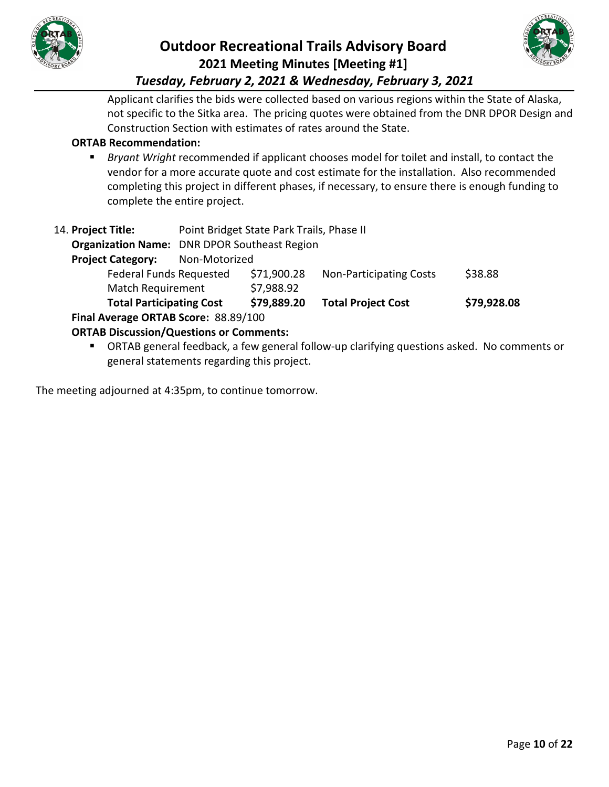



Applicant clarifies the bids were collected based on various regions within the State of Alaska, not specific to the Sitka area. The pricing quotes were obtained from the DNR DPOR Design and Construction Section with estimates of rates around the State.

### **ORTAB Recommendation:**

 *Bryant Wright* recommended if applicant chooses model for toilet and install, to contact the vendor for a more accurate quote and cost estimate for the installation. Also recommended completing this project in different phases, if necessary, to ensure there is enough funding to complete the entire project.

| 14. Project Title:<br><b>Project Category:</b>                                         | Point Bridget State Park Trails, Phase II<br><b>Organization Name:</b> DNR DPOR Southeast Region<br>Non-Motorized |             |                                |             |  |
|----------------------------------------------------------------------------------------|-------------------------------------------------------------------------------------------------------------------|-------------|--------------------------------|-------------|--|
| <b>Federal Funds Requested</b>                                                         |                                                                                                                   | \$71,900.28 | <b>Non-Participating Costs</b> | \$38.88     |  |
| <b>Match Requirement</b>                                                               |                                                                                                                   | \$7,988.92  |                                |             |  |
| <b>Total Participating Cost</b>                                                        |                                                                                                                   | \$79,889.20 | <b>Total Project Cost</b>      | \$79,928.08 |  |
| Final Average ORTAB Score: 88.89/100<br><b>ORTAB Discussion/Questions or Comments:</b> |                                                                                                                   |             |                                |             |  |

 ORTAB general feedback, a few general follow-up clarifying questions asked. No comments or general statements regarding this project.

The meeting adjourned at 4:35pm, to continue tomorrow.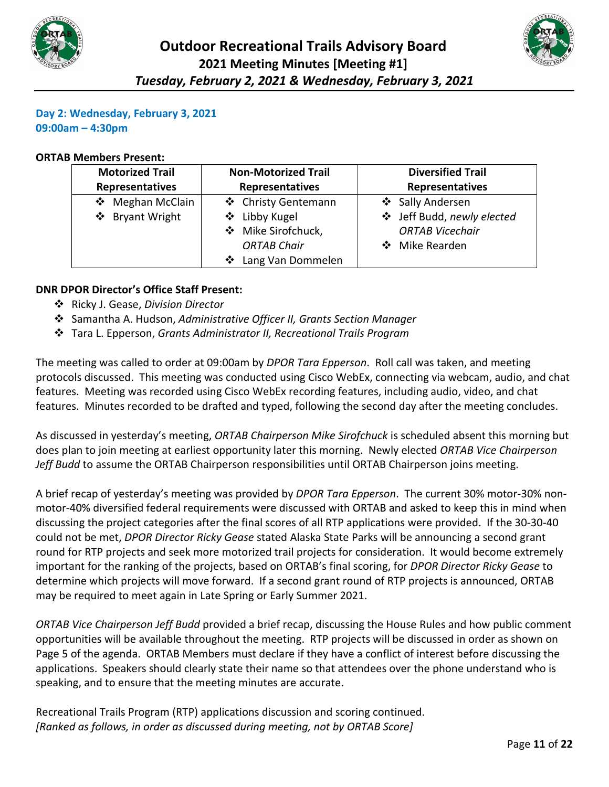



#### **Day 2: Wednesday, February 3, 2021 09:00am – 4:30pm**

#### **ORTAB Members Present:**

| <b>Motorized Trail</b><br><b>Non-Motorized Trail</b> |                     | <b>Diversified Trail</b>   |
|------------------------------------------------------|---------------------|----------------------------|
| <b>Representatives</b><br><b>Representatives</b>     |                     | <b>Representatives</b>     |
| ❖ Meghan McClain                                     | ❖ Christy Gentemann | ❖ Sally Andersen           |
| ❖ Bryant Wright                                      | ❖ Libby Kugel       | ❖ Jeff Budd, newly elected |
|                                                      | ❖ Mike Sirofchuck,  | <b>ORTAB Vicechair</b>     |
|                                                      | <b>ORTAB Chair</b>  | ❖ Mike Rearden             |
|                                                      | ❖ Lang Van Dommelen |                            |

#### **DNR DPOR Director's Office Staff Present:**

- Ricky J. Gease, *Division Director*
- Samantha A. Hudson, *Administrative Officer II, Grants Section Manager*
- Tara L. Epperson, *Grants Administrator II, Recreational Trails Program*

The meeting was called to order at 09:00am by *DPOR Tara Epperson*. Roll call was taken, and meeting protocols discussed. This meeting was conducted using Cisco WebEx, connecting via webcam, audio, and chat features. Meeting was recorded using Cisco WebEx recording features, including audio, video, and chat features. Minutes recorded to be drafted and typed, following the second day after the meeting concludes.

As discussed in yesterday's meeting, *ORTAB Chairperson Mike Sirofchuck* is scheduled absent this morning but does plan to join meeting at earliest opportunity later this morning. Newly elected *ORTAB Vice Chairperson Jeff Budd* to assume the ORTAB Chairperson responsibilities until ORTAB Chairperson joins meeting.

A brief recap of yesterday's meeting was provided by *DPOR Tara Epperson*. The current 30% motor-30% nonmotor-40% diversified federal requirements were discussed with ORTAB and asked to keep this in mind when discussing the project categories after the final scores of all RTP applications were provided. If the 30-30-40 could not be met, *DPOR Director Ricky Gease* stated Alaska State Parks will be announcing a second grant round for RTP projects and seek more motorized trail projects for consideration. It would become extremely important for the ranking of the projects, based on ORTAB's final scoring, for *DPOR Director Ricky Gease* to determine which projects will move forward. If a second grant round of RTP projects is announced, ORTAB may be required to meet again in Late Spring or Early Summer 2021.

*ORTAB Vice Chairperson Jeff Budd* provided a brief recap, discussing the House Rules and how public comment opportunities will be available throughout the meeting. RTP projects will be discussed in order as shown on Page 5 of the agenda. ORTAB Members must declare if they have a conflict of interest before discussing the applications. Speakers should clearly state their name so that attendees over the phone understand who is speaking, and to ensure that the meeting minutes are accurate.

Recreational Trails Program (RTP) applications discussion and scoring continued. *[Ranked as follows, in order as discussed during meeting, not by ORTAB Score]*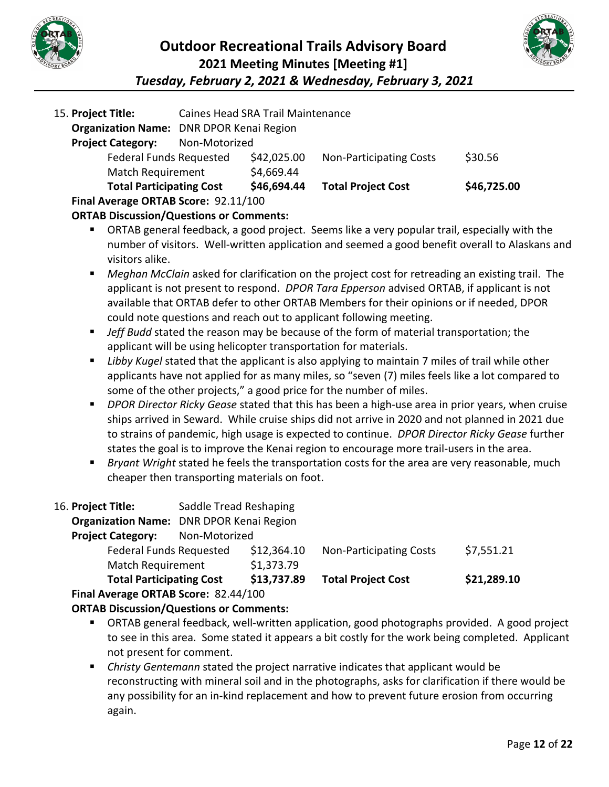



| 15. Project Title:                   |               | Caines Head SRA Trail Maintenance               |                                |             |  |
|--------------------------------------|---------------|-------------------------------------------------|--------------------------------|-------------|--|
|                                      |               | <b>Organization Name: DNR DPOR Kenai Region</b> |                                |             |  |
| <b>Project Category:</b>             | Non-Motorized |                                                 |                                |             |  |
| <b>Federal Funds Requested</b>       |               | \$42,025.00                                     | <b>Non-Participating Costs</b> | \$30.56     |  |
| <b>Match Requirement</b>             |               | \$4,669.44                                      |                                |             |  |
| <b>Total Participating Cost</b>      |               | \$46,694.44                                     | <b>Total Project Cost</b>      | \$46,725.00 |  |
| Final Average ORTAB Score: 92.11/100 |               |                                                 |                                |             |  |

**ORTAB Discussion/Questions or Comments:**

- ORTAB general feedback, a good project. Seems like a very popular trail, especially with the number of visitors. Well-written application and seemed a good benefit overall to Alaskans and visitors alike.
- *Meghan McClain* asked for clarification on the project cost for retreading an existing trail. The applicant is not present to respond. *DPOR Tara Epperson* advised ORTAB, if applicant is not available that ORTAB defer to other ORTAB Members for their opinions or if needed, DPOR could note questions and reach out to applicant following meeting.
- **Jeff Budd** stated the reason may be because of the form of material transportation; the applicant will be using helicopter transportation for materials.
- *Libby Kugel* stated that the applicant is also applying to maintain 7 miles of trail while other applicants have not applied for as many miles, so "seven (7) miles feels like a lot compared to some of the other projects," a good price for the number of miles.
- *DPOR Director Ricky Gease* stated that this has been a high-use area in prior years, when cruise ships arrived in Seward. While cruise ships did not arrive in 2020 and not planned in 2021 due to strains of pandemic, high usage is expected to continue. *DPOR Director Ricky Gease* further states the goal is to improve the Kenai region to encourage more trail-users in the area.
- *Bryant Wright* stated he feels the transportation costs for the area are very reasonable, much cheaper then transporting materials on foot.

| 16. Project Title:                   | Saddle Tread Reshaping                          |             |                                |             |
|--------------------------------------|-------------------------------------------------|-------------|--------------------------------|-------------|
|                                      | <b>Organization Name: DNR DPOR Kenai Region</b> |             |                                |             |
| <b>Project Category:</b>             | Non-Motorized                                   |             |                                |             |
| <b>Federal Funds Requested</b>       |                                                 | \$12,364.10 | <b>Non-Participating Costs</b> | \$7,551.21  |
| <b>Match Requirement</b>             |                                                 | \$1,373.79  |                                |             |
| <b>Total Participating Cost</b>      |                                                 | \$13,737.89 | <b>Total Project Cost</b>      | \$21,289.10 |
| Final Average ORTAB Score: 82.44/100 |                                                 |             |                                |             |

- ORTAB general feedback, well-written application, good photographs provided. A good project to see in this area. Some stated it appears a bit costly for the work being completed. Applicant not present for comment.
- *Christy Gentemann* stated the project narrative indicates that applicant would be reconstructing with mineral soil and in the photographs, asks for clarification if there would be any possibility for an in-kind replacement and how to prevent future erosion from occurring again.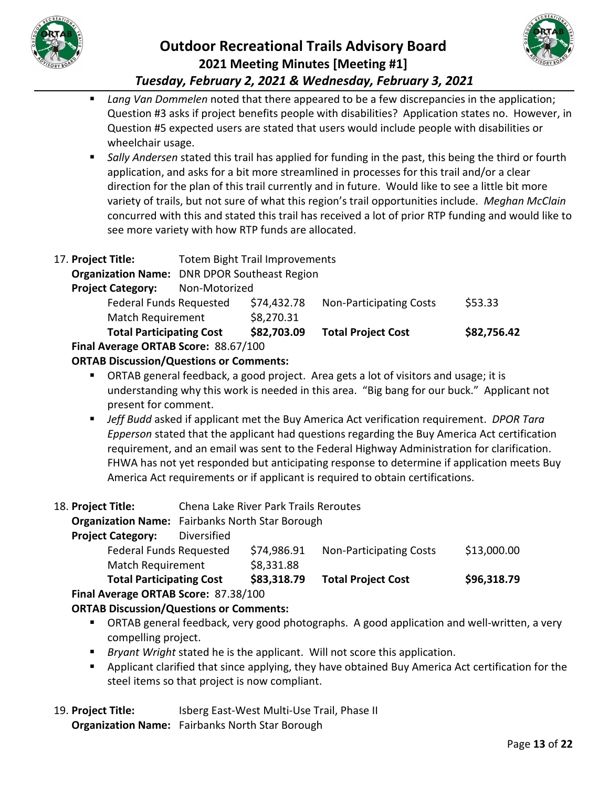



 *Lang Van Dommelen* noted that there appeared to be a few discrepancies in the application; Question #3 asks if project benefits people with disabilities? Application states no. However, in Question #5 expected users are stated that users would include people with disabilities or wheelchair usage.

- *Sally Andersen* stated this trail has applied for funding in the past, this being the third or fourth application, and asks for a bit more streamlined in processes for this trail and/or a clear direction for the plan of this trail currently and in future. Would like to see a little bit more variety of trails, but not sure of what this region's trail opportunities include. *Meghan McClain* concurred with this and stated this trail has received a lot of prior RTP funding and would like to see more variety with how RTP funds are allocated.
- 17. **Project Title:** Totem Bight Trail Improvements **Organization Name:** DNR DPOR Southeast Region **Project Category:** Non-Motorized Federal Funds Requested \$74,432.78 Non-Participating Costs \$53.33 Match Requirement \$8,270.31 **Total Participating Cost \$82,703.09 Total Project Cost \$82,756.42 Final Average ORTAB Score:** 88.67/100

### **ORTAB Discussion/Questions or Comments:**

- ORTAB general feedback, a good project. Area gets a lot of visitors and usage; it is understanding why this work is needed in this area. "Big bang for our buck." Applicant not present for comment.
- *Jeff Budd* asked if applicant met the Buy America Act verification requirement. *DPOR Tara Epperson* stated that the applicant had questions regarding the Buy America Act certification requirement, and an email was sent to the Federal Highway Administration for clarification. FHWA has not yet responded but anticipating response to determine if application meets Buy America Act requirements or if applicant is required to obtain certifications.
- 18. **Project Title:** Chena Lake River Park Trails Reroutes

#### **Organization Name:** Fairbanks North Star Borough

**Project Category:** Diversified

| $A_{11}$                        |             |                                |             |
|---------------------------------|-------------|--------------------------------|-------------|
| <b>Total Participating Cost</b> | \$83,318.79 | <b>Total Project Cost</b>      | \$96,318.79 |
| <b>Match Requirement</b>        | \$8,331.88  |                                |             |
| <b>Federal Funds Requested</b>  | \$74,986.91 | <b>Non-Participating Costs</b> | \$13,000.00 |
|                                 |             |                                |             |

**Final Average ORTAB Score:** 87.38/100

### **ORTAB Discussion/Questions or Comments:**

- ORTAB general feedback, very good photographs. A good application and well-written, a very compelling project.
- *Bryant Wright* stated he is the applicant. Will not score this application.
- Applicant clarified that since applying, they have obtained Buy America Act certification for the steel items so that project is now compliant.
- 19. **Project Title:** Isberg East-West Multi-Use Trail, Phase II

**Organization Name:** Fairbanks North Star Borough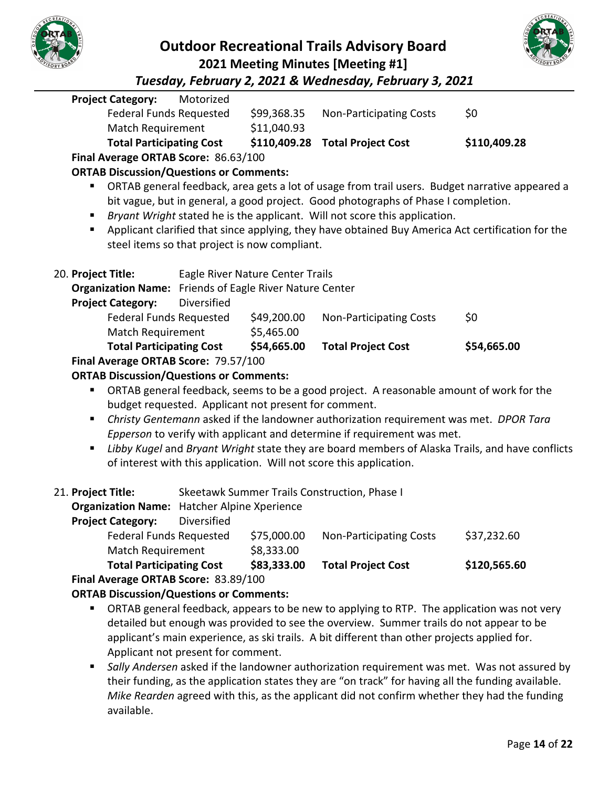



*Tuesday, February 2, 2021 & Wednesday, February 3, 2021*

|                                      | <b>Project Category:</b>                                       | Motorized   |                                                      |                                                                                                   |                                                                                                 |
|--------------------------------------|----------------------------------------------------------------|-------------|------------------------------------------------------|---------------------------------------------------------------------------------------------------|-------------------------------------------------------------------------------------------------|
|                                      | <b>Federal Funds Requested</b>                                 |             | \$99,368.35                                          | <b>Non-Participating Costs</b>                                                                    | \$0                                                                                             |
|                                      | <b>Match Requirement</b>                                       |             | \$11,040.93                                          |                                                                                                   |                                                                                                 |
|                                      | <b>Total Participating Cost</b>                                |             | \$110,409.28                                         | <b>Total Project Cost</b>                                                                         | \$110,409.28                                                                                    |
|                                      | Final Average ORTAB Score: 86.63/100                           |             |                                                      |                                                                                                   |                                                                                                 |
|                                      | <b>ORTAB Discussion/Questions or Comments:</b>                 |             |                                                      |                                                                                                   |                                                                                                 |
|                                      | ٠                                                              |             |                                                      | ORTAB general feedback, area gets a lot of usage from trail users. Budget narrative appeared a    |                                                                                                 |
|                                      |                                                                |             |                                                      | bit vague, but in general, a good project. Good photographs of Phase I completion.                |                                                                                                 |
|                                      |                                                                |             |                                                      | Bryant Wright stated he is the applicant. Will not score this application.                        |                                                                                                 |
|                                      | ٠                                                              |             |                                                      | Applicant clarified that since applying, they have obtained Buy America Act certification for the |                                                                                                 |
|                                      |                                                                |             | steel items so that project is now compliant.        |                                                                                                   |                                                                                                 |
|                                      |                                                                |             |                                                      |                                                                                                   |                                                                                                 |
|                                      | 20. Project Title:                                             |             | Eagle River Nature Center Trails                     |                                                                                                   |                                                                                                 |
|                                      | <b>Organization Name:</b> Friends of Eagle River Nature Center | Diversified |                                                      |                                                                                                   |                                                                                                 |
|                                      | <b>Project Category:</b><br><b>Federal Funds Requested</b>     |             | \$49,200.00                                          | <b>Non-Participating Costs</b>                                                                    | \$0                                                                                             |
|                                      | <b>Match Requirement</b>                                       |             | \$5,465.00                                           |                                                                                                   |                                                                                                 |
|                                      | <b>Total Participating Cost</b>                                |             | \$54,665.00                                          | <b>Total Project Cost</b>                                                                         | \$54,665.00                                                                                     |
|                                      | Final Average ORTAB Score: 79.57/100                           |             |                                                      |                                                                                                   |                                                                                                 |
|                                      | <b>ORTAB Discussion/Questions or Comments:</b>                 |             |                                                      |                                                                                                   |                                                                                                 |
|                                      | ٠                                                              |             |                                                      | ORTAB general feedback, seems to be a good project. A reasonable amount of work for the           |                                                                                                 |
|                                      |                                                                |             | budget requested. Applicant not present for comment. |                                                                                                   |                                                                                                 |
|                                      | ٠                                                              |             |                                                      | Christy Gentemann asked if the landowner authorization requirement was met. DPOR Tara             |                                                                                                 |
|                                      |                                                                |             |                                                      | Epperson to verify with applicant and determine if requirement was met.                           |                                                                                                 |
|                                      | Ξ                                                              |             |                                                      |                                                                                                   | Libby Kugel and Bryant Wright state they are board members of Alaska Trails, and have conflicts |
|                                      |                                                                |             |                                                      | of interest with this application. Will not score this application.                               |                                                                                                 |
|                                      |                                                                |             |                                                      |                                                                                                   |                                                                                                 |
|                                      | 21. Project Title:                                             |             |                                                      | Skeetawk Summer Trails Construction, Phase I                                                      |                                                                                                 |
|                                      | <b>Organization Name:</b> Hatcher Alpine Xperience             |             |                                                      |                                                                                                   |                                                                                                 |
|                                      | <b>Project Category:</b>                                       | Diversified |                                                      |                                                                                                   |                                                                                                 |
|                                      | <b>Federal Funds Requested</b>                                 |             | \$75,000.00                                          | <b>Non-Participating Costs</b>                                                                    | \$37,232.60                                                                                     |
|                                      | Match Requirement                                              |             | \$8,333.00                                           |                                                                                                   |                                                                                                 |
|                                      | <b>Total Participating Cost</b>                                |             | \$83,333.00                                          | <b>Total Project Cost</b>                                                                         | \$120,565.60                                                                                    |
| Final Average ORTAB Score: 83.89/100 |                                                                |             |                                                      |                                                                                                   |                                                                                                 |
|                                      |                                                                |             | ODTAD Discussion (Ougstices or Commants)             |                                                                                                   |                                                                                                 |

- **ORTAB Discussion/Questions or Comments:**
	- **ORTAB general feedback, appears to be new to applying to RTP. The application was not very** detailed but enough was provided to see the overview. Summer trails do not appear to be applicant's main experience, as ski trails. A bit different than other projects applied for. Applicant not present for comment.
	- *Sally Andersen* asked if the landowner authorization requirement was met. Was not assured by their funding, as the application states they are "on track" for having all the funding available. *Mike Rearden* agreed with this, as the applicant did not confirm whether they had the funding available.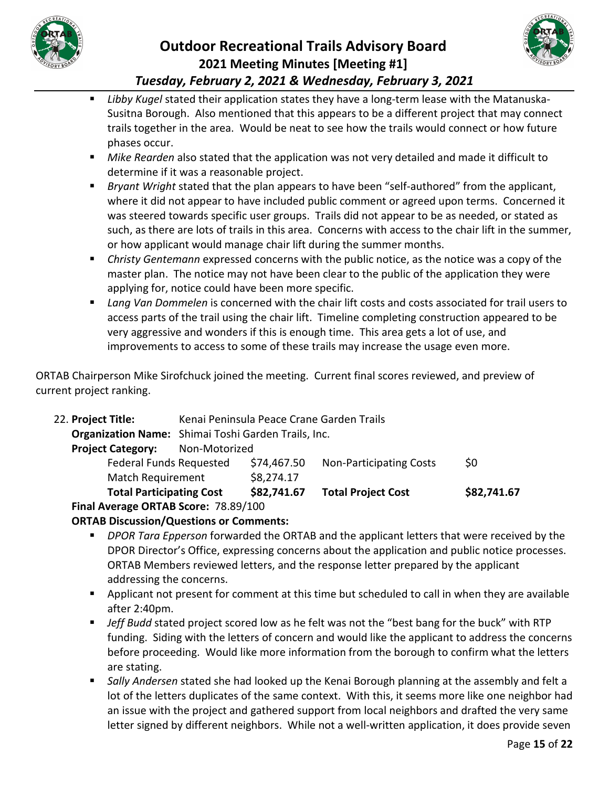



- *Libby Kugel* stated their application states they have a long-term lease with the Matanuska-Susitna Borough. Also mentioned that this appears to be a different project that may connect trails together in the area. Would be neat to see how the trails would connect or how future phases occur.
- *Mike Rearden* also stated that the application was not very detailed and made it difficult to determine if it was a reasonable project.
- *Bryant Wright* stated that the plan appears to have been "self-authored" from the applicant, where it did not appear to have included public comment or agreed upon terms. Concerned it was steered towards specific user groups. Trails did not appear to be as needed, or stated as such, as there are lots of trails in this area. Concerns with access to the chair lift in the summer, or how applicant would manage chair lift during the summer months.
- *Christy Gentemann* expressed concerns with the public notice, as the notice was a copy of the master plan. The notice may not have been clear to the public of the application they were applying for, notice could have been more specific.
- *Lang Van Dommelen* is concerned with the chair lift costs and costs associated for trail users to access parts of the trail using the chair lift. Timeline completing construction appeared to be very aggressive and wonders if this is enough time. This area gets a lot of use, and improvements to access to some of these trails may increase the usage even more.

ORTAB Chairperson Mike Sirofchuck joined the meeting. Current final scores reviewed, and preview of current project ranking.

| 22. Project Title:                   |                                                     |             | Kenai Peninsula Peace Crane Garden Trails |             |  |
|--------------------------------------|-----------------------------------------------------|-------------|-------------------------------------------|-------------|--|
|                                      | Organization Name: Shimai Toshi Garden Trails, Inc. |             |                                           |             |  |
| <b>Project Category:</b>             | Non-Motorized                                       |             |                                           |             |  |
| <b>Federal Funds Requested</b>       |                                                     | \$74,467.50 | <b>Non-Participating Costs</b>            | \$0         |  |
| <b>Match Requirement</b>             |                                                     | \$8,274.17  |                                           |             |  |
| <b>Total Participating Cost</b>      |                                                     | \$82,741.67 | <b>Total Project Cost</b>                 | \$82,741.67 |  |
| Final Average ORTAB Score: 78.89/100 |                                                     |             |                                           |             |  |

- *DPOR Tara Epperson* forwarded the ORTAB and the applicant letters that were received by the DPOR Director's Office, expressing concerns about the application and public notice processes. ORTAB Members reviewed letters, and the response letter prepared by the applicant addressing the concerns.
- Applicant not present for comment at this time but scheduled to call in when they are available after 2:40pm.
- **F** Jeff Budd stated project scored low as he felt was not the "best bang for the buck" with RTP funding. Siding with the letters of concern and would like the applicant to address the concerns before proceeding. Would like more information from the borough to confirm what the letters are stating.
- *Sally Andersen* stated she had looked up the Kenai Borough planning at the assembly and felt a lot of the letters duplicates of the same context. With this, it seems more like one neighbor had an issue with the project and gathered support from local neighbors and drafted the very same letter signed by different neighbors. While not a well-written application, it does provide seven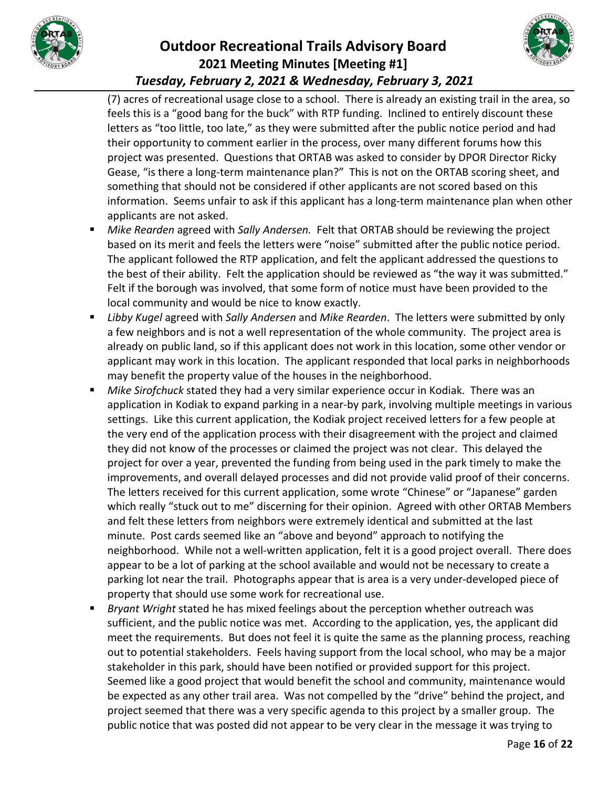



(7) acres of recreational usage close to a school. There is already an existing trail in the area, so feels this is a "good bang for the buck" with RTP funding. Inclined to entirely discount these letters as "too little, too late," as they were submitted after the public notice period and had their opportunity to comment earlier in the process, over many different forums how this project was presented. Questions that ORTAB was asked to consider by DPOR Director Ricky Gease, "is there a long-term maintenance plan?" This is not on the ORTAB scoring sheet, and something that should not be considered if other applicants are not scored based on this information. Seems unfair to ask if this applicant has a long-term maintenance plan when other applicants are not asked.

- *Mike Rearden* agreed with *Sally Andersen.* Felt that ORTAB should be reviewing the project based on its merit and feels the letters were "noise" submitted after the public notice period. The applicant followed the RTP application, and felt the applicant addressed the questions to the best of their ability. Felt the application should be reviewed as "the way it was submitted." Felt if the borough was involved, that some form of notice must have been provided to the local community and would be nice to know exactly.
- **EXTED** *Libby Kugel* agreed with *Sally Andersen* and *Mike Rearden*. The letters were submitted by only a few neighbors and is not a well representation of the whole community. The project area is already on public land, so if this applicant does not work in this location, some other vendor or applicant may work in this location. The applicant responded that local parks in neighborhoods may benefit the property value of the houses in the neighborhood.
- *Mike Sirofchuck* stated they had a very similar experience occur in Kodiak. There was an application in Kodiak to expand parking in a near-by park, involving multiple meetings in various settings. Like this current application, the Kodiak project received letters for a few people at the very end of the application process with their disagreement with the project and claimed they did not know of the processes or claimed the project was not clear. This delayed the project for over a year, prevented the funding from being used in the park timely to make the improvements, and overall delayed processes and did not provide valid proof of their concerns. The letters received for this current application, some wrote "Chinese" or "Japanese" garden which really "stuck out to me" discerning for their opinion. Agreed with other ORTAB Members and felt these letters from neighbors were extremely identical and submitted at the last minute. Post cards seemed like an "above and beyond" approach to notifying the neighborhood. While not a well-written application, felt it is a good project overall. There does appear to be a lot of parking at the school available and would not be necessary to create a parking lot near the trail. Photographs appear that is area is a very under-developed piece of property that should use some work for recreational use.
- *Bryant Wright* stated he has mixed feelings about the perception whether outreach was sufficient, and the public notice was met. According to the application, yes, the applicant did meet the requirements. But does not feel it is quite the same as the planning process, reaching out to potential stakeholders. Feels having support from the local school, who may be a major stakeholder in this park, should have been notified or provided support for this project. Seemed like a good project that would benefit the school and community, maintenance would be expected as any other trail area. Was not compelled by the "drive" behind the project, and project seemed that there was a very specific agenda to this project by a smaller group. The public notice that was posted did not appear to be very clear in the message it was trying to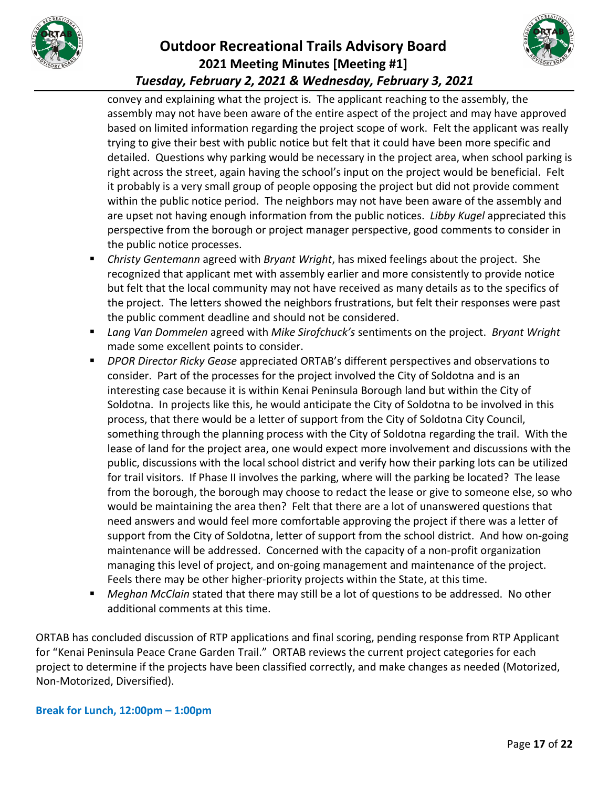



convey and explaining what the project is. The applicant reaching to the assembly, the assembly may not have been aware of the entire aspect of the project and may have approved based on limited information regarding the project scope of work. Felt the applicant was really trying to give their best with public notice but felt that it could have been more specific and detailed. Questions why parking would be necessary in the project area, when school parking is right across the street, again having the school's input on the project would be beneficial. Felt it probably is a very small group of people opposing the project but did not provide comment within the public notice period. The neighbors may not have been aware of the assembly and are upset not having enough information from the public notices. *Libby Kugel* appreciated this perspective from the borough or project manager perspective, good comments to consider in the public notice processes.

- *Christy Gentemann* agreed with *Bryant Wright*, has mixed feelings about the project. She recognized that applicant met with assembly earlier and more consistently to provide notice but felt that the local community may not have received as many details as to the specifics of the project. The letters showed the neighbors frustrations, but felt their responses were past the public comment deadline and should not be considered.
- *Lang Van Dommelen* agreed with *Mike Sirofchuck's* sentiments on the project. *Bryant Wright* made some excellent points to consider.
- *DPOR Director Ricky Gease* appreciated ORTAB's different perspectives and observations to consider. Part of the processes for the project involved the City of Soldotna and is an interesting case because it is within Kenai Peninsula Borough land but within the City of Soldotna. In projects like this, he would anticipate the City of Soldotna to be involved in this process, that there would be a letter of support from the City of Soldotna City Council, something through the planning process with the City of Soldotna regarding the trail. With the lease of land for the project area, one would expect more involvement and discussions with the public, discussions with the local school district and verify how their parking lots can be utilized for trail visitors. If Phase II involves the parking, where will the parking be located? The lease from the borough, the borough may choose to redact the lease or give to someone else, so who would be maintaining the area then? Felt that there are a lot of unanswered questions that need answers and would feel more comfortable approving the project if there was a letter of support from the City of Soldotna, letter of support from the school district. And how on-going maintenance will be addressed. Concerned with the capacity of a non-profit organization managing this level of project, and on-going management and maintenance of the project. Feels there may be other higher-priority projects within the State, at this time.
- *Meghan McClain* stated that there may still be a lot of questions to be addressed. No other additional comments at this time.

ORTAB has concluded discussion of RTP applications and final scoring, pending response from RTP Applicant for "Kenai Peninsula Peace Crane Garden Trail." ORTAB reviews the current project categories for each project to determine if the projects have been classified correctly, and make changes as needed (Motorized, Non-Motorized, Diversified).

#### **Break for Lunch, 12:00pm – 1:00pm**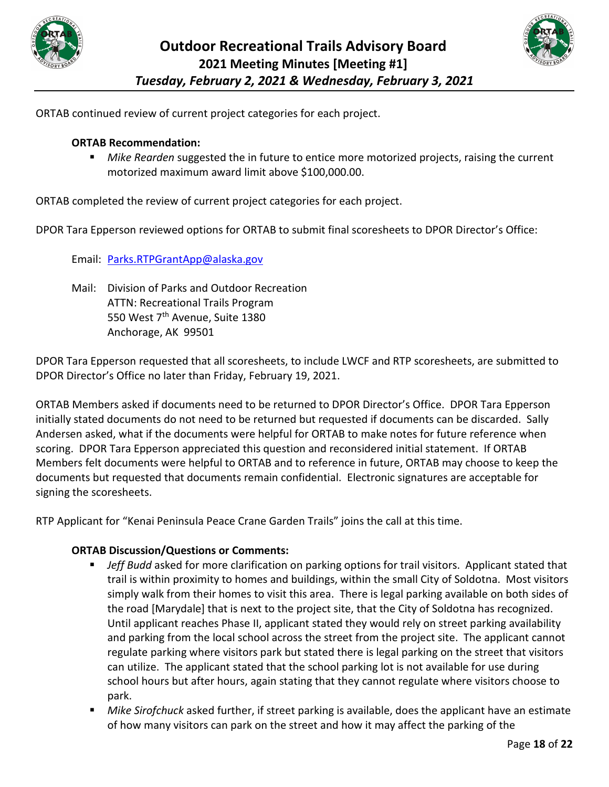



ORTAB continued review of current project categories for each project.

#### **ORTAB Recommendation:**

 *Mike Rearden* suggested the in future to entice more motorized projects, raising the current motorized maximum award limit above \$100,000.00.

ORTAB completed the review of current project categories for each project.

DPOR Tara Epperson reviewed options for ORTAB to submit final scoresheets to DPOR Director's Office:

Email: [Parks.RTPGrantApp@alaska.gov](mailto:Parks.RTPGrantApp@alaska.gov)

Mail: Division of Parks and Outdoor Recreation ATTN: Recreational Trails Program 550 West 7<sup>th</sup> Avenue, Suite 1380 Anchorage, AK 99501

DPOR Tara Epperson requested that all scoresheets, to include LWCF and RTP scoresheets, are submitted to DPOR Director's Office no later than Friday, February 19, 2021.

ORTAB Members asked if documents need to be returned to DPOR Director's Office. DPOR Tara Epperson initially stated documents do not need to be returned but requested if documents can be discarded. Sally Andersen asked, what if the documents were helpful for ORTAB to make notes for future reference when scoring. DPOR Tara Epperson appreciated this question and reconsidered initial statement. If ORTAB Members felt documents were helpful to ORTAB and to reference in future, ORTAB may choose to keep the documents but requested that documents remain confidential. Electronic signatures are acceptable for signing the scoresheets.

RTP Applicant for "Kenai Peninsula Peace Crane Garden Trails" joins the call at this time.

- *Jeff Budd* asked for more clarification on parking options for trail visitors. Applicant stated that trail is within proximity to homes and buildings, within the small City of Soldotna. Most visitors simply walk from their homes to visit this area. There is legal parking available on both sides of the road [Marydale] that is next to the project site, that the City of Soldotna has recognized. Until applicant reaches Phase II, applicant stated they would rely on street parking availability and parking from the local school across the street from the project site. The applicant cannot regulate parking where visitors park but stated there is legal parking on the street that visitors can utilize. The applicant stated that the school parking lot is not available for use during school hours but after hours, again stating that they cannot regulate where visitors choose to park.
- *Mike Sirofchuck* asked further, if street parking is available, does the applicant have an estimate of how many visitors can park on the street and how it may affect the parking of the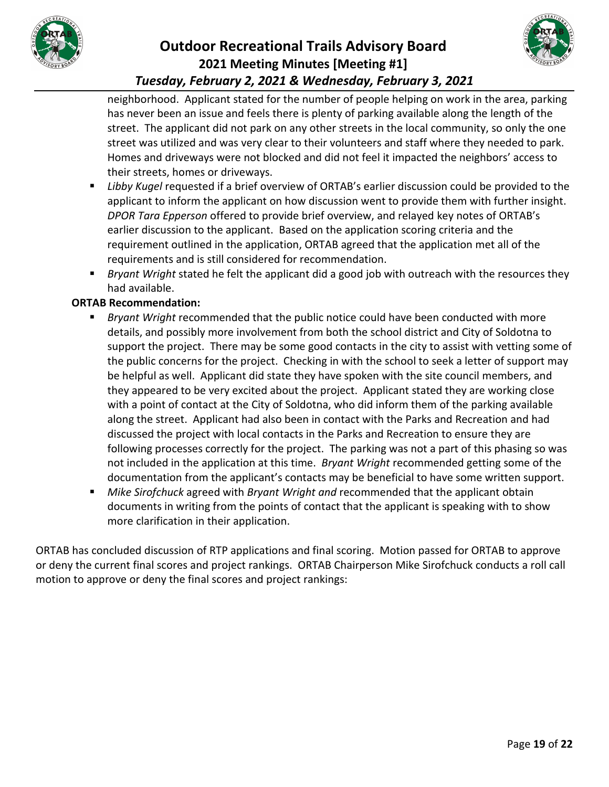



neighborhood. Applicant stated for the number of people helping on work in the area, parking has never been an issue and feels there is plenty of parking available along the length of the street. The applicant did not park on any other streets in the local community, so only the one street was utilized and was very clear to their volunteers and staff where they needed to park. Homes and driveways were not blocked and did not feel it impacted the neighbors' access to their streets, homes or driveways.

- *Libby Kugel* requested if a brief overview of ORTAB's earlier discussion could be provided to the applicant to inform the applicant on how discussion went to provide them with further insight. *DPOR Tara Epperson* offered to provide brief overview, and relayed key notes of ORTAB's earlier discussion to the applicant. Based on the application scoring criteria and the requirement outlined in the application, ORTAB agreed that the application met all of the requirements and is still considered for recommendation.
- *Bryant Wright* stated he felt the applicant did a good job with outreach with the resources they had available.

#### **ORTAB Recommendation:**

- *Bryant Wright* recommended that the public notice could have been conducted with more details, and possibly more involvement from both the school district and City of Soldotna to support the project. There may be some good contacts in the city to assist with vetting some of the public concerns for the project. Checking in with the school to seek a letter of support may be helpful as well. Applicant did state they have spoken with the site council members, and they appeared to be very excited about the project. Applicant stated they are working close with a point of contact at the City of Soldotna, who did inform them of the parking available along the street. Applicant had also been in contact with the Parks and Recreation and had discussed the project with local contacts in the Parks and Recreation to ensure they are following processes correctly for the project. The parking was not a part of this phasing so was not included in the application at this time. *Bryant Wright* recommended getting some of the documentation from the applicant's contacts may be beneficial to have some written support.
- *Mike Sirofchuck* agreed with *Bryant Wright and* recommended that the applicant obtain documents in writing from the points of contact that the applicant is speaking with to show more clarification in their application.

ORTAB has concluded discussion of RTP applications and final scoring. Motion passed for ORTAB to approve or deny the current final scores and project rankings. ORTAB Chairperson Mike Sirofchuck conducts a roll call motion to approve or deny the final scores and project rankings: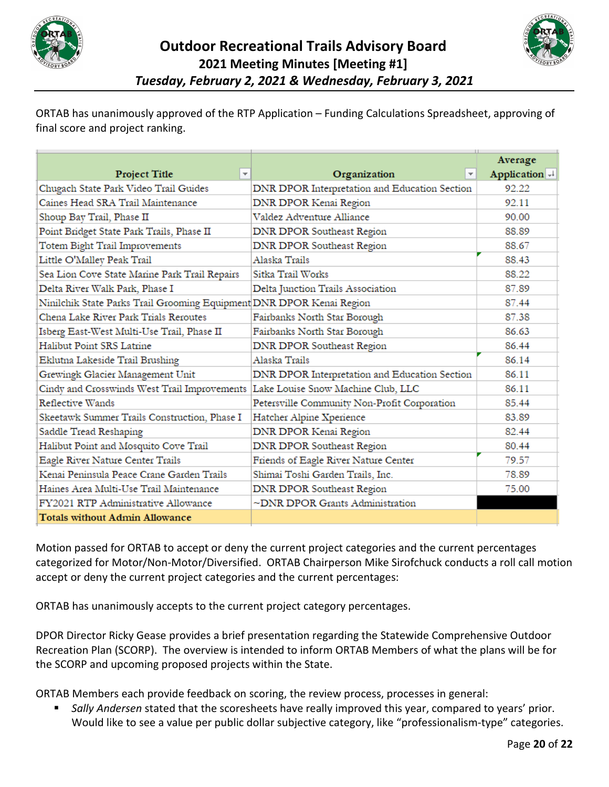



ORTAB has unanimously approved of the RTP Application – Funding Calculations Spreadsheet, approving of final score and project ranking.

|                                                                      |                                               | Average       |
|----------------------------------------------------------------------|-----------------------------------------------|---------------|
| $\overline{\mathbf{v}}$<br><b>Project Title</b>                      | Organization<br>$\overline{\mathbf{v}}$       | Application + |
| Chugach State Park Video Trail Guides                                | DNR DPOR Interpretation and Education Section | 92.22         |
| Caines Head SRA Trail Maintenance                                    | DNR DPOR Kenai Region                         | 92.11         |
| Shoup Bay Trail, Phase II                                            | Valdez Adventure Alliance                     | 90.00         |
| Point Bridget State Park Trails, Phase II                            | <b>DNR DPOR Southeast Region</b>              | 88.89         |
| Totem Bight Trail Improvements                                       | DNR DPOR Southeast Region                     | 88.67         |
| Little O'Malley Peak Trail                                           | Alaska Trails                                 | 88.43         |
| Sea Lion Cove State Marine Park Trail Repairs                        | Sitka Trail Works                             | 88.22         |
| Delta River Walk Park, Phase I                                       | Delta Junction Trails Association             | 87.89         |
| Ninilchik State Parks Trail Grooming Equipment DNR DPOR Kenai Region |                                               | 87.44         |
| Chena Lake River Park Trials Reroutes                                | Fairbanks North Star Borough                  | 87.38         |
| Isberg East-West Multi-Use Trail, Phase II                           | Fairbanks North Star Borough                  | 86.63         |
| Halibut Point SRS Latrine                                            | <b>DNR DPOR Southeast Region</b>              | 86.44         |
| Eklutna Lakeside Trail Brushing                                      | Alaska Trails                                 | 86.14         |
| Grewingk Glacier Management Unit                                     | DNR DPOR Interpretation and Education Section | 86.11         |
| Cindy and Crosswinds West Trail Improvements                         | Lake Louise Snow Machine Club, LLC            | 86.11         |
| Reflective Wands                                                     | Petersville Community Non-Profit Corporation  | 85.44         |
| Skeetawk Summer Trails Construction, Phase I                         | Hatcher Alpine Xperience                      | 83.89         |
| Saddle Tread Reshaping                                               | <b>DNR DPOR Kenai Region</b>                  | 82.44         |
| Halibut Point and Mosquito Cove Trail                                | <b>DNR DPOR Southeast Region</b>              | 80.44         |
| Eagle River Nature Center Trails                                     | Friends of Eagle River Nature Center          | 79.57         |
| Kenai Peninsula Peace Crane Garden Trails                            | Shimai Toshi Garden Trails, Inc.              | 78.89         |
| Haines Area Multi-Use Trail Maintenance                              | <b>DNR DPOR Southeast Region</b>              | 75.00         |
| FY2021 RTP Administrative Allowance                                  | ~DNR DPOR Grants Administration               |               |
| <b>Totals without Admin Allowance</b>                                |                                               |               |

Motion passed for ORTAB to accept or deny the current project categories and the current percentages categorized for Motor/Non-Motor/Diversified. ORTAB Chairperson Mike Sirofchuck conducts a roll call motion accept or deny the current project categories and the current percentages:

ORTAB has unanimously accepts to the current project category percentages.

DPOR Director Ricky Gease provides a brief presentation regarding the Statewide Comprehensive Outdoor Recreation Plan (SCORP). The overview is intended to inform ORTAB Members of what the plans will be for the SCORP and upcoming proposed projects within the State.

ORTAB Members each provide feedback on scoring, the review process, processes in general:

 *Sally Andersen* stated that the scoresheets have really improved this year, compared to years' prior. Would like to see a value per public dollar subjective category, like "professionalism-type" categories.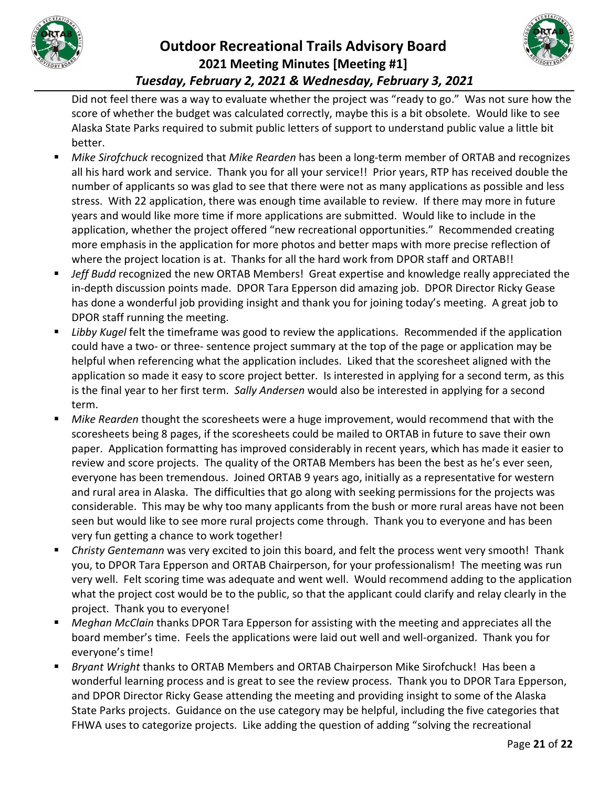



Did not feel there was a way to evaluate whether the project was "ready to go." Was not sure how the score of whether the budget was calculated correctly, maybe this is a bit obsolete. Would like to see Alaska State Parks required to submit public letters of support to understand public value a little bit better.

- *Mike Sirofchuck* recognized that *Mike Rearden* has been a long-term member of ORTAB and recognizes all his hard work and service. Thank you for all your service!! Prior years, RTP has received double the number of applicants so was glad to see that there were not as many applications as possible and less stress. With 22 application, there was enough time available to review. If there may more in future years and would like more time if more applications are submitted. Would like to include in the application, whether the project offered "new recreational opportunities." Recommended creating more emphasis in the application for more photos and better maps with more precise reflection of where the project location is at. Thanks for all the hard work from DPOR staff and ORTAB!!
- *Jeff Budd* recognized the new ORTAB Members! Great expertise and knowledge really appreciated the in-depth discussion points made. DPOR Tara Epperson did amazing job. DPOR Director Ricky Gease has done a wonderful job providing insight and thank you for joining today's meeting. A great job to DPOR staff running the meeting.
- **Libby Kugel felt the timeframe was good to review the applications. Recommended if the application** could have a two- or three- sentence project summary at the top of the page or application may be helpful when referencing what the application includes. Liked that the scoresheet aligned with the application so made it easy to score project better. Is interested in applying for a second term, as this is the final year to her first term. *Sally Andersen* would also be interested in applying for a second term.
- *Mike Rearden* thought the scoresheets were a huge improvement, would recommend that with the scoresheets being 8 pages, if the scoresheets could be mailed to ORTAB in future to save their own paper. Application formatting has improved considerably in recent years, which has made it easier to review and score projects. The quality of the ORTAB Members has been the best as he's ever seen, everyone has been tremendous. Joined ORTAB 9 years ago, initially as a representative for western and rural area in Alaska. The difficulties that go along with seeking permissions for the projects was considerable. This may be why too many applicants from the bush or more rural areas have not been seen but would like to see more rural projects come through. Thank you to everyone and has been very fun getting a chance to work together!
- *Christy Gentemann* was very excited to join this board, and felt the process went very smooth! Thank you, to DPOR Tara Epperson and ORTAB Chairperson, for your professionalism! The meeting was run very well. Felt scoring time was adequate and went well. Would recommend adding to the application what the project cost would be to the public, so that the applicant could clarify and relay clearly in the project. Thank you to everyone!
- *Meghan McClain* thanks DPOR Tara Epperson for assisting with the meeting and appreciates all the board member's time. Feels the applications were laid out well and well-organized. Thank you for everyone's time!
- *Bryant Wright* thanks to ORTAB Members and ORTAB Chairperson Mike Sirofchuck! Has been a wonderful learning process and is great to see the review process. Thank you to DPOR Tara Epperson, and DPOR Director Ricky Gease attending the meeting and providing insight to some of the Alaska State Parks projects. Guidance on the use category may be helpful, including the five categories that FHWA uses to categorize projects. Like adding the question of adding "solving the recreational